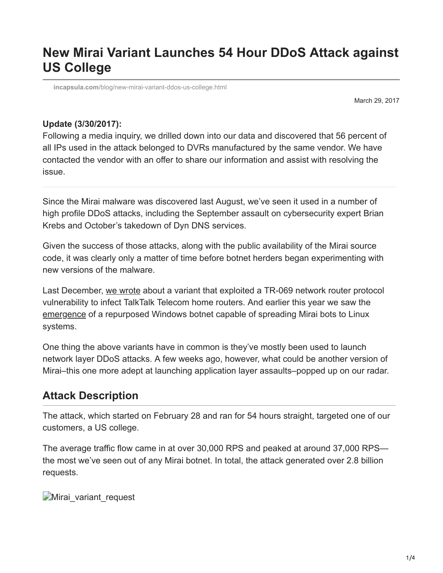# **New Mirai Variant Launches 54 Hour DDoS Attack against US College**

**incapsula.com**[/blog/new-mirai-variant-ddos-us-college.html](https://www.incapsula.com/blog/new-mirai-variant-ddos-us-college.html)

March 29, 2017

#### **Update (3/30/2017):**

Following a media inquiry, we drilled down into our data and discovered that 56 percent of all IPs used in the attack belonged to DVRs manufactured by the same vendor. We have contacted the vendor with an offer to share our information and assist with resolving the issue.

Since the Mirai malware was discovered last August, we've seen it used in a number of high profile DDoS attacks, including the September assault on cybersecurity expert Brian Krebs and October's takedown of Dyn DNS services.

Given the success of those attacks, along with the public availability of the Mirai source code, it was clearly only a matter of time before botnet herders began experimenting with new versions of the malware.

Last December, [we wrote](https://www.imperva.com/blog/new-variant-mirai-embeds-talktalk-home-routers/) about a variant that exploited a TR-069 network router protocol vulnerability to infect TalkTalk Telecom home routers. And earlier this year we saw the [emergence](https://securelist.com/newish-mirai-spreader-poses-new-risks/77621/) of a repurposed Windows botnet capable of spreading Mirai bots to Linux systems.

One thing the above variants have in common is they've mostly been used to launch network layer DDoS attacks. A few weeks ago, however, what could be another version of Mirai–this one more adept at launching application layer assaults–popped up on our radar.

### **Attack Description**

The attack, which started on February 28 and ran for 54 hours straight, targeted one of our customers, a US college.

The average traffic flow came in at over 30,000 RPS and peaked at around 37,000 RPS the most we've seen out of any Mirai botnet. In total, the attack generated over 2.8 billion requests.

Mirai variant request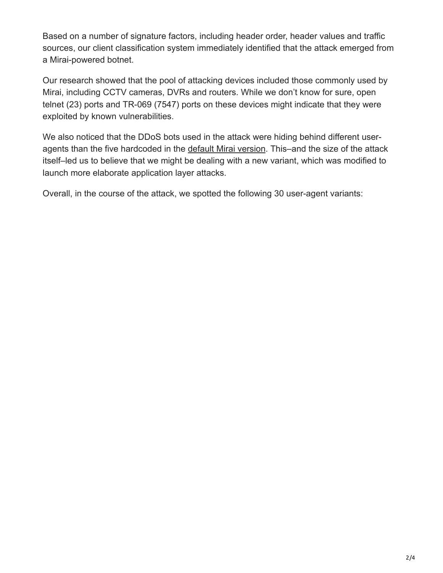Based on a number of signature factors, including header order, header values and traffic sources, our client classification system immediately identified that the attack emerged from a Mirai-powered botnet.

Our research showed that the pool of attacking devices included those commonly used by Mirai, including CCTV cameras, DVRs and routers. While we don't know for sure, open telnet (23) ports and TR-069 (7547) ports on these devices might indicate that they were exploited by known vulnerabilities.

We also noticed that the DDoS bots used in the attack were hiding behind different useragents than the five hardcoded in the [default Mirai version.](https://www.imperva.com/blog/malware-analysis-mirai-ddos-botnet/) This–and the size of the attack itself–led us to believe that we might be dealing with a new variant, which was modified to launch more elaborate application layer attacks.

Overall, in the course of the attack, we spotted the following 30 user-agent variants: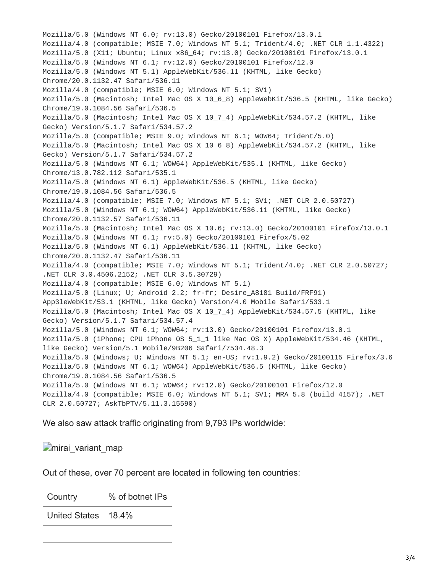Mozilla/5.0 (Windows NT 6.0; rv:13.0) Gecko/20100101 Firefox/13.0.1 Mozilla/4.0 (compatible; MSIE 7.0; Windows NT 5.1; Trident/4.0; .NET CLR 1.1.4322) Mozilla/5.0 (X11; Ubuntu; Linux x86\_64; rv:13.0) Gecko/20100101 Firefox/13.0.1 Mozilla/5.0 (Windows NT 6.1; rv:12.0) Gecko/20100101 Firefox/12.0 Mozilla/5.0 (Windows NT 5.1) AppleWebKit/536.11 (KHTML, like Gecko) Chrome/20.0.1132.47 Safari/536.11 Mozilla/4.0 (compatible; MSIE 6.0; Windows NT 5.1; SV1) Mozilla/5.0 (Macintosh; Intel Mac OS X 10\_6\_8) AppleWebKit/536.5 (KHTML, like Gecko) Chrome/19.0.1084.56 Safari/536.5 Mozilla/5.0 (Macintosh; Intel Mac OS X 10\_7\_4) AppleWebKit/534.57.2 (KHTML, like Gecko) Version/5.1.7 Safari/534.57.2 Mozilla/5.0 (compatible; MSIE 9.0; Windows NT 6.1; WOW64; Trident/5.0) Mozilla/5.0 (Macintosh; Intel Mac OS X 10\_6\_8) AppleWebKit/534.57.2 (KHTML, like Gecko) Version/5.1.7 Safari/534.57.2 Mozilla/5.0 (Windows NT 6.1; WOW64) AppleWebKit/535.1 (KHTML, like Gecko) Chrome/13.0.782.112 Safari/535.1 Mozilla/5.0 (Windows NT 6.1) AppleWebKit/536.5 (KHTML, like Gecko) Chrome/19.0.1084.56 Safari/536.5 Mozilla/4.0 (compatible; MSIE 7.0; Windows NT 5.1; SV1; .NET CLR 2.0.50727) Mozilla/5.0 (Windows NT 6.1; WOW64) AppleWebKit/536.11 (KHTML, like Gecko) Chrome/20.0.1132.57 Safari/536.11 Mozilla/5.0 (Macintosh; Intel Mac OS X 10.6; rv:13.0) Gecko/20100101 Firefox/13.0.1 Mozilla/5.0 (Windows NT 6.1; rv:5.0) Gecko/20100101 Firefox/5.02 Mozilla/5.0 (Windows NT 6.1) AppleWebKit/536.11 (KHTML, like Gecko) Chrome/20.0.1132.47 Safari/536.11 Mozilla/4.0 (compatible; MSIE 7.0; Windows NT 5.1; Trident/4.0; .NET CLR 2.0.50727; .NET CLR 3.0.4506.2152; .NET CLR 3.5.30729) Mozilla/4.0 (compatible; MSIE 6.0; Windows NT 5.1) Mozilla/5.0 (Linux; U; Android 2.2; fr-fr; Desire\_A8181 Build/FRF91) App3leWebKit/53.1 (KHTML, like Gecko) Version/4.0 Mobile Safari/533.1 Mozilla/5.0 (Macintosh; Intel Mac OS X 10\_7\_4) AppleWebKit/534.57.5 (KHTML, like Gecko) Version/5.1.7 Safari/534.57.4 Mozilla/5.0 (Windows NT 6.1; WOW64; rv:13.0) Gecko/20100101 Firefox/13.0.1 Mozilla/5.0 (iPhone; CPU iPhone OS 5 1 1 like Mac OS X) AppleWebKit/534.46 (KHTML, like Gecko) Version/5.1 Mobile/9B206 Safari/7534.48.3 Mozilla/5.0 (Windows; U; Windows NT 5.1; en-US; rv:1.9.2) Gecko/20100115 Firefox/3.6 Mozilla/5.0 (Windows NT 6.1; WOW64) AppleWebKit/536.5 (KHTML, like Gecko) Chrome/19.0.1084.56 Safari/536.5 Mozilla/5.0 (Windows NT 6.1; WOW64; rv:12.0) Gecko/20100101 Firefox/12.0 Mozilla/4.0 (compatible; MSIE 6.0; Windows NT 5.1; SV1; MRA 5.8 (build 4157); .NET CLR 2.0.50727; AskTbPTV/5.11.3.15590)

We also saw attack traffic originating from 9,793 IPs worldwide:

*mirai* variant map

Out of these, over 70 percent are located in following ten countries:

Country % of botnet IPs

United States 18.4%